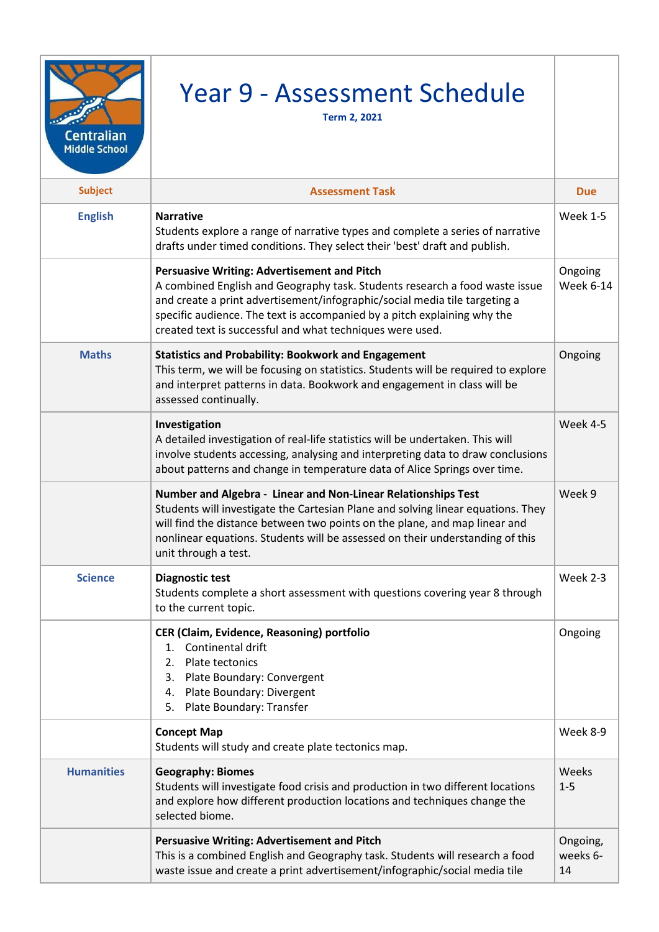| <b>Centralian</b><br><b>Middle School</b> | Year 9 - Assessment Schedule<br><b>Term 2, 2021</b>                                                                                                                                                                                                                                                                                                      |                            |
|-------------------------------------------|----------------------------------------------------------------------------------------------------------------------------------------------------------------------------------------------------------------------------------------------------------------------------------------------------------------------------------------------------------|----------------------------|
| <b>Subject</b>                            | <b>Assessment Task</b>                                                                                                                                                                                                                                                                                                                                   | <b>Due</b>                 |
| <b>English</b>                            | <b>Narrative</b><br>Students explore a range of narrative types and complete a series of narrative<br>drafts under timed conditions. They select their 'best' draft and publish.                                                                                                                                                                         | <b>Week 1-5</b>            |
|                                           | <b>Persuasive Writing: Advertisement and Pitch</b><br>A combined English and Geography task. Students research a food waste issue<br>and create a print advertisement/infographic/social media tile targeting a<br>specific audience. The text is accompanied by a pitch explaining why the<br>created text is successful and what techniques were used. | Ongoing<br>Week 6-14       |
| <b>Maths</b>                              | <b>Statistics and Probability: Bookwork and Engagement</b><br>This term, we will be focusing on statistics. Students will be required to explore<br>and interpret patterns in data. Bookwork and engagement in class will be<br>assessed continually.                                                                                                    | Ongoing                    |
|                                           | Investigation<br>A detailed investigation of real-life statistics will be undertaken. This will<br>involve students accessing, analysing and interpreting data to draw conclusions<br>about patterns and change in temperature data of Alice Springs over time.                                                                                          | Week 4-5                   |
|                                           | Number and Algebra - Linear and Non-Linear Relationships Test<br>Students will investigate the Cartesian Plane and solving linear equations. They<br>will find the distance between two points on the plane, and map linear and<br>nonlinear equations. Students will be assessed on their understanding of this<br>unit through a test.                 | Week 9                     |
| <b>Science</b>                            | <b>Diagnostic test</b><br>Students complete a short assessment with questions covering year 8 through<br>to the current topic.                                                                                                                                                                                                                           | Week 2-3                   |
|                                           | CER (Claim, Evidence, Reasoning) portfolio<br>Continental drift<br>$1_{-}$<br>Plate tectonics<br>2.<br>Plate Boundary: Convergent<br>3.<br>Plate Boundary: Divergent<br>4.<br>Plate Boundary: Transfer<br>5.                                                                                                                                             | Ongoing                    |
|                                           | <b>Concept Map</b><br>Students will study and create plate tectonics map.                                                                                                                                                                                                                                                                                | Week 8-9                   |
| <b>Humanities</b>                         | <b>Geography: Biomes</b><br>Students will investigate food crisis and production in two different locations<br>and explore how different production locations and techniques change the<br>selected biome.                                                                                                                                               | Weeks<br>$1 - 5$           |
|                                           | <b>Persuasive Writing: Advertisement and Pitch</b><br>This is a combined English and Geography task. Students will research a food<br>waste issue and create a print advertisement/infographic/social media tile                                                                                                                                         | Ongoing,<br>weeks 6-<br>14 |